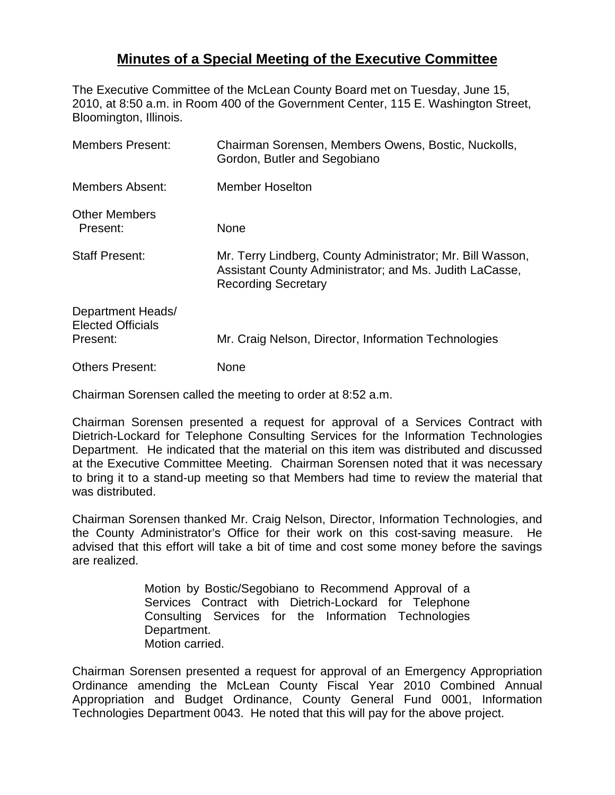## **Minutes of a Special Meeting of the Executive Committee**

The Executive Committee of the McLean County Board met on Tuesday, June 15, 2010, at 8:50 a.m. in Room 400 of the Government Center, 115 E. Washington Street, Bloomington, Illinois.

| <b>Members Present:</b>                                   | Chairman Sorensen, Members Owens, Bostic, Nuckolls,<br>Gordon, Butler and Segobiano                                                                 |
|-----------------------------------------------------------|-----------------------------------------------------------------------------------------------------------------------------------------------------|
| <b>Members Absent:</b>                                    | <b>Member Hoselton</b>                                                                                                                              |
| <b>Other Members</b><br>Present:                          | None                                                                                                                                                |
| <b>Staff Present:</b>                                     | Mr. Terry Lindberg, County Administrator; Mr. Bill Wasson,<br>Assistant County Administrator; and Ms. Judith LaCasse,<br><b>Recording Secretary</b> |
| Department Heads/<br><b>Elected Officials</b><br>Present: | Mr. Craig Nelson, Director, Information Technologies                                                                                                |
| <b>Others Present:</b>                                    | <b>None</b>                                                                                                                                         |

Chairman Sorensen called the meeting to order at 8:52 a.m.

Chairman Sorensen presented a request for approval of a Services Contract with Dietrich-Lockard for Telephone Consulting Services for the Information Technologies Department. He indicated that the material on this item was distributed and discussed at the Executive Committee Meeting. Chairman Sorensen noted that it was necessary to bring it to a stand-up meeting so that Members had time to review the material that was distributed.

Chairman Sorensen thanked Mr. Craig Nelson, Director, Information Technologies, and the County Administrator's Office for their work on this cost-saving measure. He advised that this effort will take a bit of time and cost some money before the savings are realized.

> Motion by Bostic/Segobiano to Recommend Approval of a Services Contract with Dietrich-Lockard for Telephone Consulting Services for the Information Technologies Department. Motion carried.

Chairman Sorensen presented a request for approval of an Emergency Appropriation Ordinance amending the McLean County Fiscal Year 2010 Combined Annual Appropriation and Budget Ordinance, County General Fund 0001, Information Technologies Department 0043. He noted that this will pay for the above project.